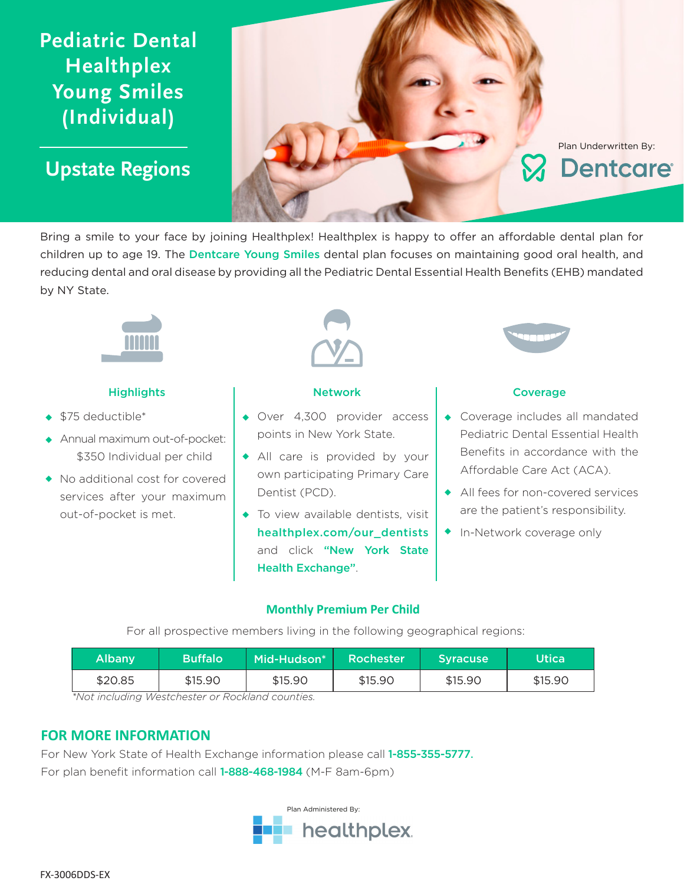# **Pediatric Dental Healthplex Young Smiles (Individual)**

**Upstate Regions**



Bring a smile to your face by joining Healthplex! Healthplex is happy to offer an affordable dental plan for children up to age 19. The Dentcare Young Smiles dental plan focuses on maintaining good oral health, and reducing dental and oral disease by providing all the Pediatric Dental Essential Health Benefits (EHB) mandated by NY State.



### Highlights **Network Network Network Network Network Network Network Network**

- $\triangleq$  \$75 deductible\*
- Annual maximum out-of-pocket: w \$350 Individual per child
- No additional cost for covered services after your maximum out-of-pocket is met.



- Over 4,300 provider access points in New York State.
- All care is provided by your own participating Primary Care Dentist (PCD).
- $\bullet$  To view available dentists, visit healthplex.com/our\_dentists and click "New York State Health Exchange".



- $\leftarrow$  Coverage includes all mandated Pediatric Dental Essential Health Benefits in accordance with the Affordable Care Act (ACA).
- All fees for non-covered services are the patient's responsibility.
- In-Network coverage only

### **Monthly Premium Per Child**

For all prospective members living in the following geographical regions:

| <b>Albany</b> | <b>Buffalo</b> | Mid-Hudson* | Rochester | <b>Syracuse</b> | <b>Utica</b> |
|---------------|----------------|-------------|-----------|-----------------|--------------|
| \$20.85       | \$15.90        | \$15.90     | \$15.90   | \$15.90         | \$15.90      |

*\*Not including Westchester or Rockland counties.*

## **FOR MORE INFORMATION**

For New York State of Health Exchange information please call 1-855-355-5777. For plan benefit information call 1-888-468-1984 (M-F 8am-6pm)

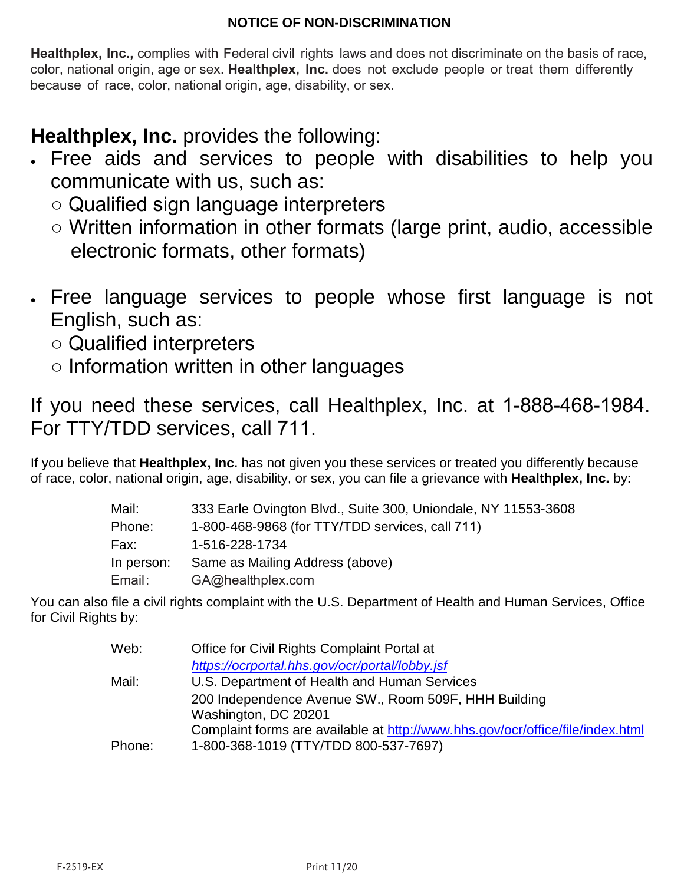# **NOTICE OF NON-DISCRIMINATION**

**Healthplex, Inc.,** complies with Federal civil rights laws and does not discriminate on the basis of race, color, national origin, age or sex. **Healthplex, Inc.** does not exclude people or treat them differently because of race, color, national origin, age, disability, or sex.

**Healthplex, Inc.** provides the following:

- Free aids and services to people with disabilities to help you communicate with us, such as:
	- Qualified sign language interpreters
	- Written information in other formats (large print, audio, accessible electronic formats, other formats)
- Free language services to people whose first language is not English, such as:
	- Qualified interpreters
	- Information written in other languages

If you need these services, call Healthplex, Inc. at 1-888-468-1984. For TTY/TDD services, call 711.

If you believe that **Healthplex, Inc.** has not given you these services or treated you differently because of race, color, national origin, age, disability, or sex, you can file a grievance with **Healthplex, Inc.** by:

| 333 Earle Ovington Blvd., Suite 300, Uniondale, NY 11553-3608 |
|---------------------------------------------------------------|
| 1-800-468-9868 (for TTY/TDD services, call 711)               |
| 1-516-228-1734                                                |
| Same as Mailing Address (above)                               |
| GA@healthplex.com                                             |
|                                                               |

You can also file a civil rights complaint with the U.S. Department of Health and Human Services, Office for Civil Rights by:

| Web:   | Office for Civil Rights Complaint Portal at                                    |
|--------|--------------------------------------------------------------------------------|
|        | https://ocrportal.hhs.gov/ocr/portal/lobby.jsf                                 |
| Mail:  | U.S. Department of Health and Human Services                                   |
|        | 200 Independence Avenue SW., Room 509F, HHH Building                           |
|        | Washington, DC 20201                                                           |
|        | Complaint forms are available at http://www.hhs.gov/ocr/office/file/index.html |
| Phone: | 1-800-368-1019 (TTY/TDD 800-537-7697)                                          |
|        |                                                                                |